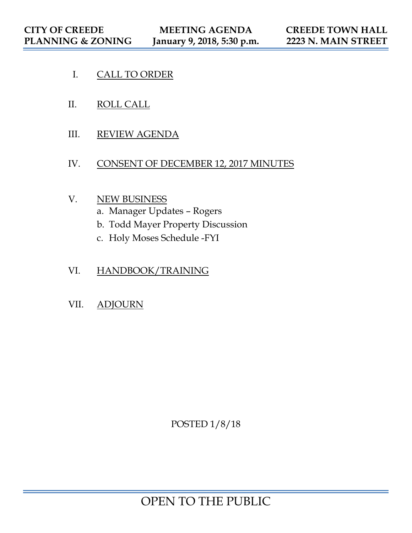- I. CALL TO ORDER
- II. ROLL CALL
- III. REVIEW AGENDA
- IV. CONSENT OF DECEMBER 12, 2017 MINUTES

### V. NEW BUSINESS

- a. Manager Updates Rogers
- b. Todd Mayer Property Discussion
- c. Holy Moses Schedule -FYI
- VI. HANDBOOK/TRAINING
- VII. ADJOURN

POSTED 1/8/18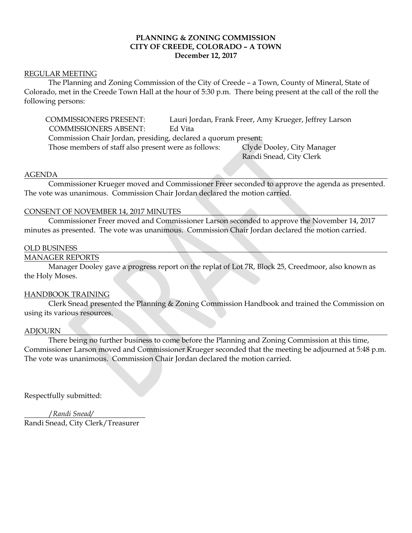#### **PLANNING & ZONING COMMISSION CITY OF CREEDE, COLORADO – A TOWN December 12, 2017**

#### REGULAR MEETING

 The Planning and Zoning Commission of the City of Creede – a Town, County of Mineral, State of Colorado, met in the Creede Town Hall at the hour of 5:30 p.m. There being present at the call of the roll the following persons:

 COMMISSIONERS PRESENT: Lauri Jordan, Frank Freer, Amy Krueger, Jeffrey Larson COMMISSIONERS ABSENT: Ed Vita Commission Chair Jordan, presiding, declared a quorum present: Those members of staff also present were as follows: Clyde Dooley, City Manager

Randi Snead, City Clerk

#### AGENDA

 Commissioner Krueger moved and Commissioner Freer seconded to approve the agenda as presented. The vote was unanimous. Commission Chair Jordan declared the motion carried.

#### CONSENT OF NOVEMBER 14, 2017 MINUTES

 Commissioner Freer moved and Commissioner Larson seconded to approve the November 14, 2017 minutes as presented. The vote was unanimous. Commission Chair Jordan declared the motion carried.

#### OLD BUSINESS

#### MANAGER REPORTS

Manager Dooley gave a progress report on the replat of Lot 7R, Block 25, Creedmoor, also known as the Holy Moses.

#### HANDBOOK TRAINING

 Clerk Snead presented the Planning & Zoning Commission Handbook and trained the Commission on using its various resources.

#### ADJOURN

 There being no further business to come before the Planning and Zoning Commission at this time, Commissioner Larson moved and Commissioner Krueger seconded that the meeting be adjourned at 5:48 p.m. The vote was unanimous. Commission Chair Jordan declared the motion carried.

Respectfully submitted:

 /*Randi Snead/* Randi Snead, City Clerk/Treasurer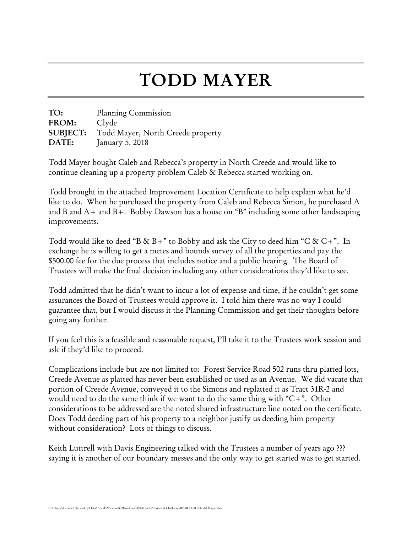# TODD MAYER

TO: Planning Commission FROM: Clyde SUBJECT: Todd Mayer, North Creede property DATE: January 5. 2018

Todd Mayer bought Caleb and Rebecca's property in North Creede and would like to continue cleaning up a property problem Caleb & Rebecca started working on.

Todd brought in the attached Improvement Location Certificate to help explain what he'd like to do. When he purchased the property from Caleb and Rebecca Simon, he purchased A and B and A+ and B+. Bobby Dawson has a house on "B" including some other landscaping improvements.

Todd would like to deed "B & B+" to Bobby and ask the City to deed him "C & C+". In exchange he is willing to get a metes and bounds survey of all the properties and pay the \$500.00 fee for the due process that includes notice and a public hearing. The Board of Trustees will make the final decision including any other considerations they'd like to see.

Todd admitted that he didn't want to incur a lot of expense and time, if he couldn't get some assurances the Board of Trustees would approve it. I told him there was no way I could guarantee that, but I would discuss it the Planning Commission and get their thoughts before going any further.

If you feel this is a feasible and reasonable request, I'll take it to the Trustees work session and ask if they'd like to proceed.

Complications include but are not limited to: Forest Service Road 502 runs thru platted lots, Creede Avenue as platted has never been established or used as an Avenue. We did vacate that portion of Creede Avenue, conveyed it to the Simons and replatted it as Tract 31R-2 and would need to do the same think if we want to do the same thing with "C+". Other considerations to be addressed are the noted shared infrastructure line noted on the certificate. Does Todd deeding part of his property to a neighbor justify us deeding him property without consideration? Lots of things to discuss.

Keith Luttrell with Davis Engineering talked with the Trustees a number of years ago ??? saying it is another of our boundary messes and the only way to get started was to get started.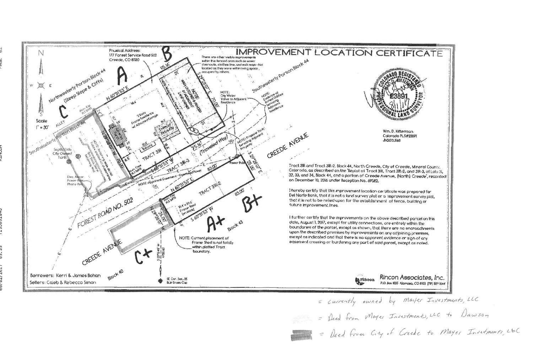

= currently owned by<br>= fleed from Moyer I.

| RTIFICATE                                                                                                                                         |  |
|---------------------------------------------------------------------------------------------------------------------------------------------------|--|
| m<br>228833148                                                                                                                                    |  |
| .D. Kitterman<br>xrado PLS#23891<br>013.1168                                                                                                      |  |
| of Creede, Mineral County,<br>act 31R-2, and 31R-3, of Lots 31,<br>ue, (North) Creede, recorded                                                   |  |
| cote was prepared for<br>aprovement survey plat,<br>of fence, building or                                                                         |  |
| described parcel on this<br>entirely within the<br>are no encroachments<br>y adjoining premises,<br>dence or sign of any<br>rel, except as nated. |  |
| con Associates, Inc.<br>x 1025 Alamasa, CO 81101 (289 589-3644                                                                                    |  |
| by Mayer Investments, LLC                                                                                                                         |  |
| Investments, LLC to Dawson                                                                                                                        |  |

= Deed from City of Creede to Mayer Instruments, LBC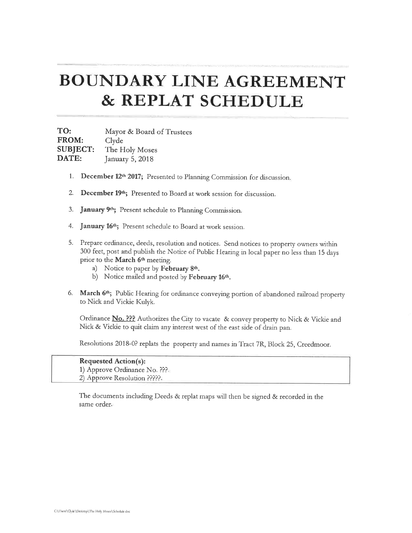### **BOUNDARY LINE AGREEMENT** & REPLAT SCHEDULE

TO: Mayor & Board of Trustees FROM: Clyde **SUBJECT:** The Holy Moses DATE: January 5, 2018

- 1. December 12th 2017; Presented to Planning Commission for discussion.
- December 19th; Presented to Board at work session for discussion. 2.
- 3. January 9<sup>th</sup>; Present schedule to Planning Commission.
- January 16th; Present schedule to Board at work session. 4.
- Prepare ordinance, deeds, resolution and notices. Send notices to property owners within 5. 300 feet, post and publish the Notice of Public Hearing in local paper no less than 15 days prior to the March 6th meeting.
	- a) Notice to paper by February 8th.
	- b) Notice mailed and posted by February 16th.
- 6. March 6th; Public Hearing for ordinance conveying portion of abandoned railroad property to Nick and Vickie Kulyk.

Ordinance No. ??? Authorizes the City to vacate & convey property to Nick & Vickie and Nick & Vickie to quit claim any interest west of the east side of drain pan.

Resolutions 2018-0? replats the property and names in Tract 7R, Block 25, Creedmoor.

| <b>Requested Action(s):</b>               |
|-------------------------------------------|
| 1) Approve Ordinance No. $P_{\text{eff}}$ |
| 2) Approve Resolution ?????.              |

The documents including Deeds & replat maps will then be signed & recorded in the same order.